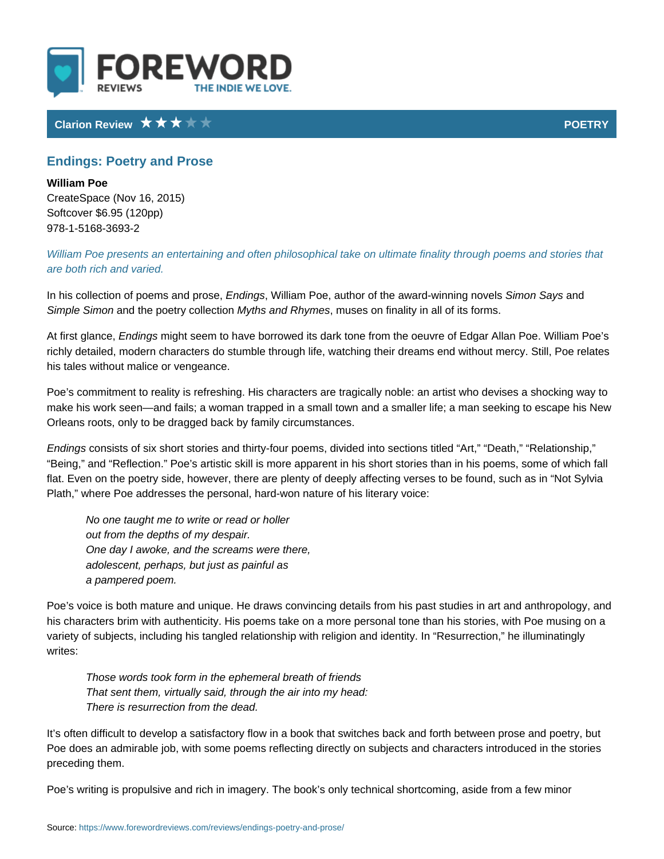## Clarion Review POETRY

## Endings: Poetry and Prose

William Poe CreateSpace (Nov 16, 2015) Softcover \$6.95 (120pp) 978-1-5168-3693-2

William Poe presents an entertaining and often philosophical take on ultimate f are both rich and varied.

In his collection of poeEnnsdaim,gdkMpirbisa.em, Poe, author of the aw**Sind-owninShaaiyn,sgd** novels Simple Simmoch the poetry Moyltlhess taion ond Rhymnuesses on finality in all of its forms.

At first gl $E$ am ocien, gmsight seem to have borrowed its dark tone from the oeuvre of Eq richly detailed, modern characters do stumble through life, watching their dream his tales without malice or vengeance.

Poe s commitment to reality is refreshing. His characters are tragically noble: a make his work seen and fails; a woman trapped in a small town and a smaller li Orleans roots, only to be dragged back by family circumstances.

Endings nsists of six short stories and thirty-four poems, divided into sections Being, and Reflection. Poe s artistic skill is more apparent in his short stor flat. Even on the poetry side, however, there are plenty of deeply affecting ver Plath, where Poe addresses the personal, hard-won nature of his literary voice:

No one taught me to write or read or holler out from the depths of my despair. One day I awoke, and the screams were there, adolescent, perhaps, but just as painful as a pampered poem.

Poe s voice is both mature and unique. He draws convincing details from his pa his characters brim with authenticity. His poems take on a more personal tone t variety of subjects, including his tangled relationship with religion and identity writes:

Those words took form in the ephemeral breath of friends That sent them, virtually said, through the air into my head: There is resurrection from the dead.

It s often difficult to develop a satisfactory flow in a book that switches back a Poe does an admirable job, with some poems reflecting directly on subjects and preceding them.

Poe s writing is propulsive and rich in imagery. The book s only technical short